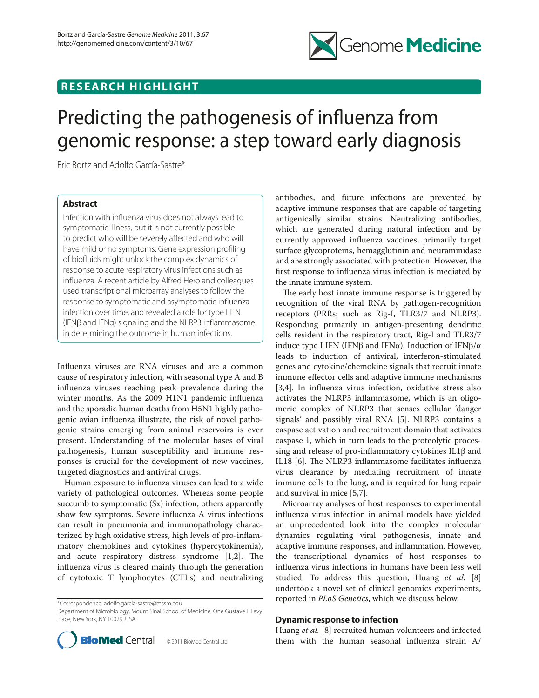

# **RESEARCH HIGHLIGHT**

# Predicting the pathogenesis of influenza from genomic response: a step toward early diagnosis

Eric Bortz and Adolfo García-Sastre\*

# **Abstract**

Infection with influenza virus does not always lead to symptomatic illness, but it is not currently possible to predict who will be severely affected and who will have mild or no symptoms. Gene expression profiling of biofluids might unlock the complex dynamics of response to acute respiratory virus infections such as influenza. A recent article by Alfred Hero and colleagues used transcriptional microarray analyses to follow the response to symptomatic and asymptomatic influenza infection over time, and revealed a role for type I IFN  $(IFNB and IFNa)$  signaling and the NLRP3 inflammasome in determining the outcome in human infections.

Influenza viruses are RNA viruses and are a common cause of respiratory infection, with seasonal type A and B influenza viruses reaching peak prevalence during the winter months. As the 2009 H1N1 pandemic influenza and the sporadic human deaths from H5N1 highly pathogenic avian influenza illustrate, the risk of novel pathogenic strains emerging from animal reservoirs is ever present. Understanding of the molecular bases of viral pathogenesis, human susceptibility and immune responses is crucial for the development of new vaccines, targeted diagnostics and antiviral drugs.

Human exposure to influenza viruses can lead to a wide variety of pathological outcomes. Whereas some people succumb to symptomatic (Sx) infection, others apparently show few symptoms. Severe influenza A virus infections can result in pneumonia and immunopathology characterized by high oxidative stress, high levels of pro-inflammatory chemokines and cytokines (hypercytokinemia), and acute respiratory distress syndrome  $[1,2]$ . The influenza virus is cleared mainly through the generation of cytotoxic T lymphocytes (CTLs) and neutralizing

\*Correspondence: adolfo.garcia-sastre@mssm.edu

Department of Microbiology, Mount Sinai School of Medicine, One Gustave L Levy Place, New York, NY 10029, USA



antibodies, and future infections are prevented by adaptive immune responses that are capable of targeting antigenically similar strains. Neutralizing antibodies, which are generated during natural infection and by currently approved influenza vaccines, primarily target surface glycoproteins, hemagglutinin and neuraminidase and are strongly associated with protection. However, the first response to influenza virus infection is mediated by the innate immune system.

The early host innate immune response is triggered by recognition of the viral RNA by pathogen-recognition receptors (PRRs; such as Rig-I, TLR3/7 and NLRP3). Responding primarily in antigen-presenting dendritic cells resident in the respiratory tract, Rig-I and TLR3/7 induce type I IFN (IFNβ and IFNα). Induction of IFNβ/α leads to induction of antiviral, interferon-stimulated genes and cytokine/chemokine signals that recruit innate immune effector cells and adaptive immune mechanisms [3,4]. In influenza virus infection, oxidative stress also activates the NLRP3 inflammasome, which is an oligomeric complex of NLRP3 that senses cellular 'danger signals' and possibly viral RNA [5]. NLRP3 contains a caspase activation and recruitment domain that activates caspase 1, which in turn leads to the proteolytic processing and release of pro-inflammatory cytokines IL1β and IL18 [6]. The NLRP3 inflammasome facilitates influenza virus clearance by mediating recruitment of innate immune cells to the lung, and is required for lung repair and survival in mice [5,7].

Microarray analyses of host responses to experimental influenza virus infection in animal models have yielded an unprecedented look into the complex molecular dynamics regulating viral pathogenesis, innate and adaptive immune responses, and inflammation. However, the transcriptional dynamics of host responses to influenza virus infections in humans have been less well studied. To address this question, Huang *et al.* [8] undertook a novel set of clinical genomics experiments, reported in *PLoS Genetics*, which we discuss below.

## **Dynamic response to infection**

Huang *et al.* [8] recruited human volunteers and infected them with the human seasonal influenza strain A/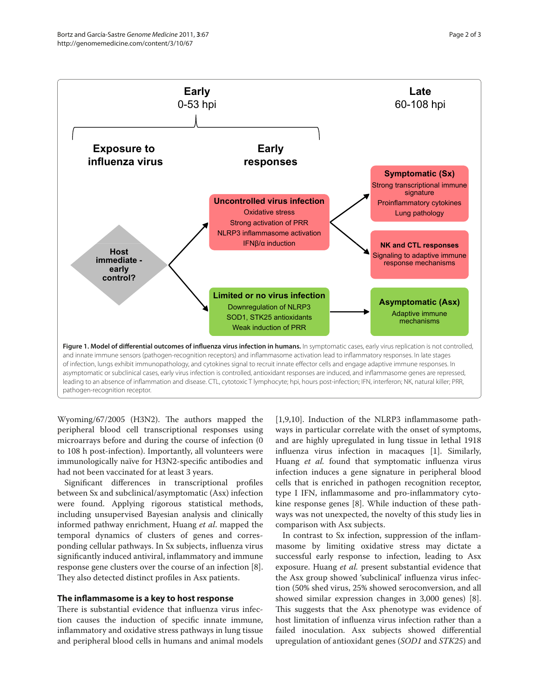

Wyoming/67/2005 (H3N2). The authors mapped the peripheral blood cell transcriptional responses using microarrays before and during the course of infection (0 to 108 h post-infection). Importantly, all volunteers were immunologically naïve for H3N2-specific antibodies and had not been vaccinated for at least 3 years.

Significant differences in transcriptional profiles between Sx and subclinical/asymptomatic (Asx) infection were found. Applying rigorous statistical methods, including unsupervised Bayesian analysis and clinically informed pathway enrichment, Huang *et al*. mapped the temporal dynamics of clusters of genes and corresponding cellular pathways. In Sx subjects, influenza virus significantly induced antiviral, inflammatory and immune response gene clusters over the course of an infection [8]. They also detected distinct profiles in Asx patients.

## **The inflammasome is a key to host response**

There is substantial evidence that influenza virus infection causes the induction of specific innate immune, inflammatory and oxidative stress pathways in lung tissue and peripheral blood cells in humans and animal models

[1,9,10]. Induction of the NLRP3 inflammasome pathways in particular correlate with the onset of symptoms, and are highly upregulated in lung tissue in lethal 1918 influenza virus infection in macaques [1]. Similarly, Huang *et al.* found that symptomatic influenza virus infection induces a gene signature in peripheral blood cells that is enriched in pathogen recognition receptor, type I IFN, inflammasome and pro-inflammatory cytokine response genes [8]. While induction of these pathways was not unexpected, the novelty of this study lies in comparison with Asx subjects.

In contrast to Sx infection, suppression of the inflammasome by limiting oxidative stress may dictate a successful early response to infection, leading to Asx exposure. Huang *et al.* present substantial evidence that the Asx group showed 'subclinical' influenza virus infection (50% shed virus, 25% showed seroconversion, and all showed similar expression changes in 3,000 genes) [8]. This suggests that the Asx phenotype was evidence of host limitation of influenza virus infection rather than a failed inoculation. Asx subjects showed differential upregulation of antioxidant genes (*SOD1* and *STK25*) and